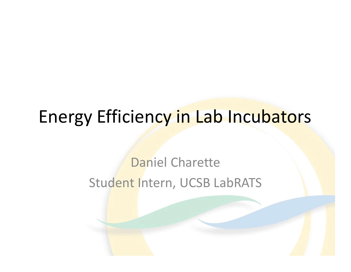### Energy Efficiency in Lab Incubators

#### Daniel Charette Student Intern, UCSB LabRATS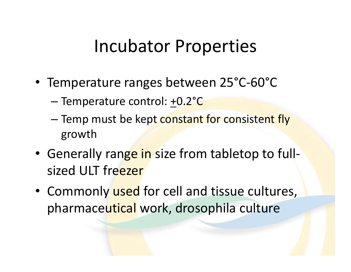### Incubator Properties

- Temperature ranges between 25°C-60°C
	- Temperature control: +0.2°C
- Incubator Properties<br>
Temperature ranges between 25°C-60°C<br>
 Temp must be kept constant for consistent fly<br>
growth<br>
Senerally range in size from tableton to full. growth
- Generally range in size from tabletop to fullsized ULT freezer
- Commonly used for cell and tissue cultures, pharmaceutical work, drosophila culture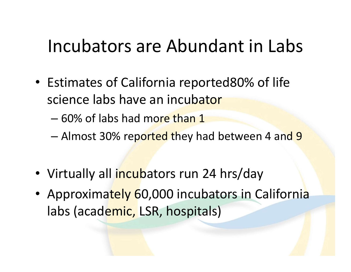### Incubators are Abundant in Labs

- Estimates of California reported80% of life science labs have an incubator
	- 60% of labs had more than 1
	- Almost 30% reported they had between 4 and 9
- Virtually all incubators run 24 hrs/day
- Approximately 60,000 incubators in California labs (academic, LSR, hospitals)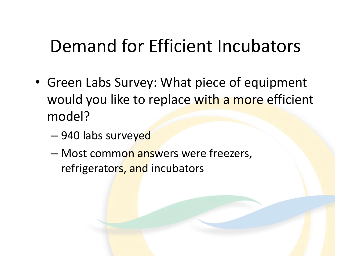# Demand for Efficient Incubators

- Green Labs Survey: What piece of equipment would you like to replace with a more efficient model?
	- 940 labs surveyed
	- Most common answers were freezers, refrigerators, and incubators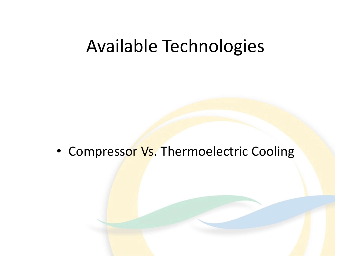#### Available Technologies

• Compressor Vs. Thermoelectric Cooling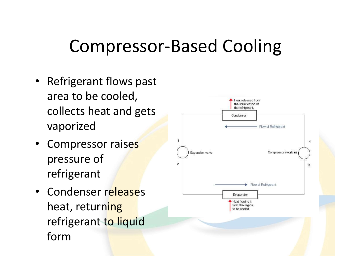# Compressor-Based Cooling

- Refrigerant flows past area to be cooled, collects heat and gets vaporized
- Compressor raises pressure of refrigerant
- Condenser releases heat, returning refrigerant to liquid form

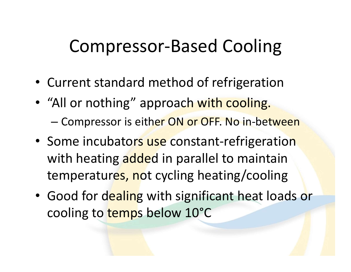# Compressor-Based Cooling

- Current standard method of refrigeration
- "All or nothing" approach with cooling. – Compressor is either ON or OFF. No in-between
- Some incubators use constant-refrigeration with heating added in parallel to maintain temperatures, not cycling heating/cooling
- Good for dealing with significant heat loads or cooling to temps below 10°C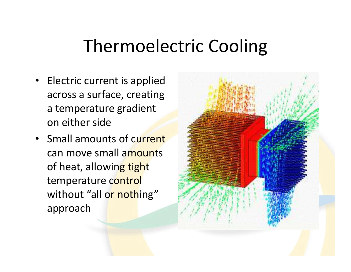## Thermoelectric Cooling

- Electric current is applied across a surface, creating a temperature gradient on either side
- Small amounts of current can move small amounts of heat, allowing tight temperature control without "all or nothing" approach

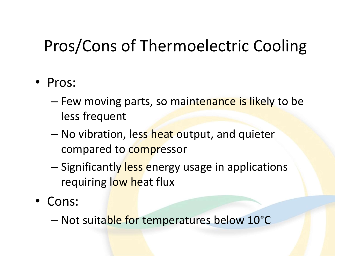### Pros/Cons of Thermoelectric Cooling

- Pros:
	- Few moving parts, so maintenance is likely to be less frequent
	- No vibration, less heat output, and quieter compared to compressor
	- Significantly less energy usage in applications requiring low heat flux
- Cons:
	- Not suitable for temperatures below 10°C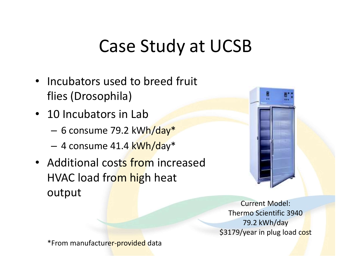## Case Study at UCSB

- Incubators used to breed fruit flies (Drosophila)
- 10 Incubators in Lab
	- 6 consume 79.2 kWh/day\*
	- 4 consume 41.4 kWh/day\*
- Additional costs from increased HVAC load from high heat output



Current Model: Thermo Scientific 3940 79.2 kWh/day \$3179/year in plug load cost

\*From manufacturer-provided data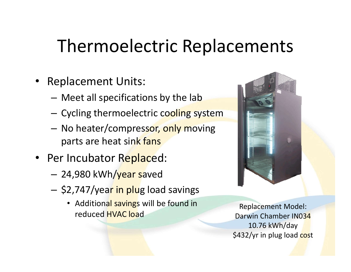# Thermoelectric Replacements

- Replacement Units:
	- Meet all specifications by the lab
	- Cycling thermoelectric cooling system
	- No heater/compressor, only moving parts are heat sink fans
- Per Incubator Replaced:
	- 24,980 kWh/year saved
	- \$2,747/year in plug load savings
		- Additional savings will be found in reduced HVAC load



Replacement Model: Darwin Chamber IN034 10.76 kWh/day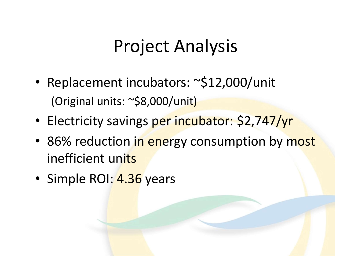# Project Analysis

- Replacement incubators: ~\$12,000/unit (Original units: ~\$8,000/unit)
- Electricity savings per incubator: \$2,747/yr
- 86% reduction in energy consumption by most inefficient units
- Simple ROI: 4.36 years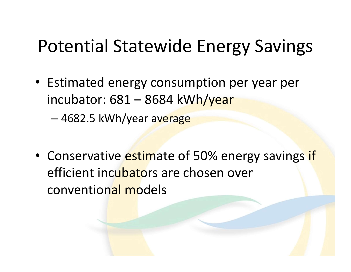# Potential Statewide Energy Savings

• Estimated energy consumption per year per otential Statewide Energy Savir<br>Estimated energy consumption per year pe<br>incubator: 681 – 8684 kWh/year<br>– 4682.5 kWh/year average

• Conservative estimate of 50% energy savings if efficient incubators are chosen over conventional models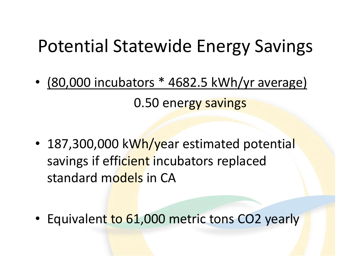## Potential Statewide Energy Savings

- Potential Statewide Energy Savings<br>• <u>(80,000 incubators \* 4682.5 kWh/yr average)</u><br>0.50 energy savings 0.50 energy savings
- 187,300,000 kWh/year estimated potential savings if efficient incubators replaced standard models in CA
- Equivalent to 61,000 metric tons CO2 yearly